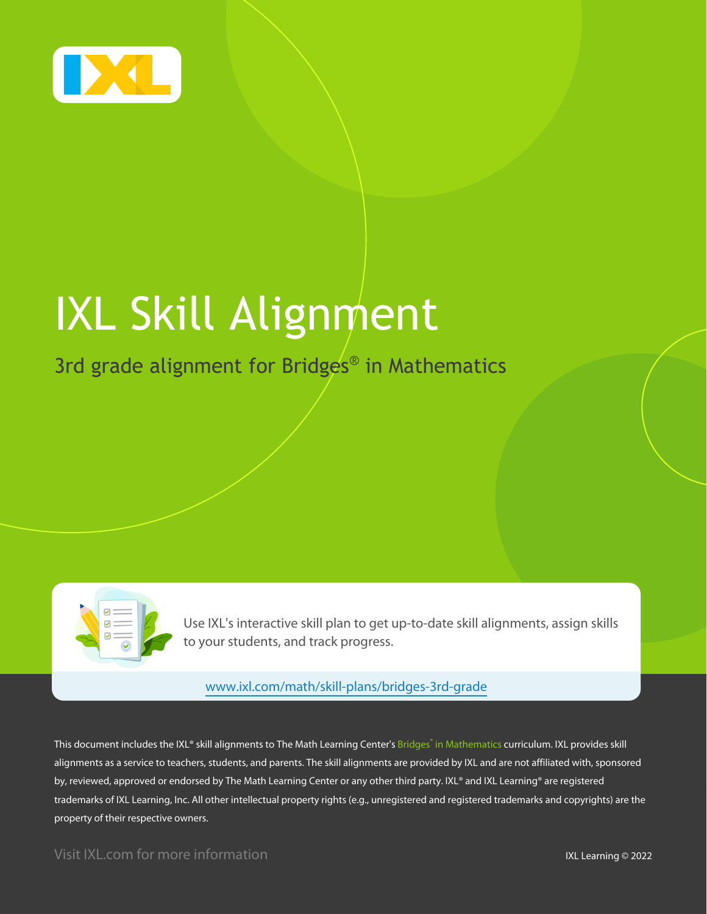

# IXL Skill Alignment

3rd grade alignment for Bridges<sup>®</sup> in Mathematics

Use IXL's interactive skill plan to get up-to-date skill alignments, assign skills to your students, and track progress.

#### [www.ixl.com/math/skill-plans/bridges-3rd-grade](https://www.ixl.com/math/skill-plans/bridges-3rd-grade)

This document includes the IXL® skill alignments to The Math Learning Center's Bridges® in Mathematics curriculum. IXL provides skill alignments as a service to teachers, students, and parents. The skill alignments are provided by IXL and are not affiliated with, sponsored by, reviewed, approved or endorsed by The Math Learning Center or any other third party. IXL® and IXL Learning® are registered trademarks of IXL Learning, Inc. All other intellectual property rights (e.g., unregistered and registered trademarks and copyrights) are the property of their respective owners.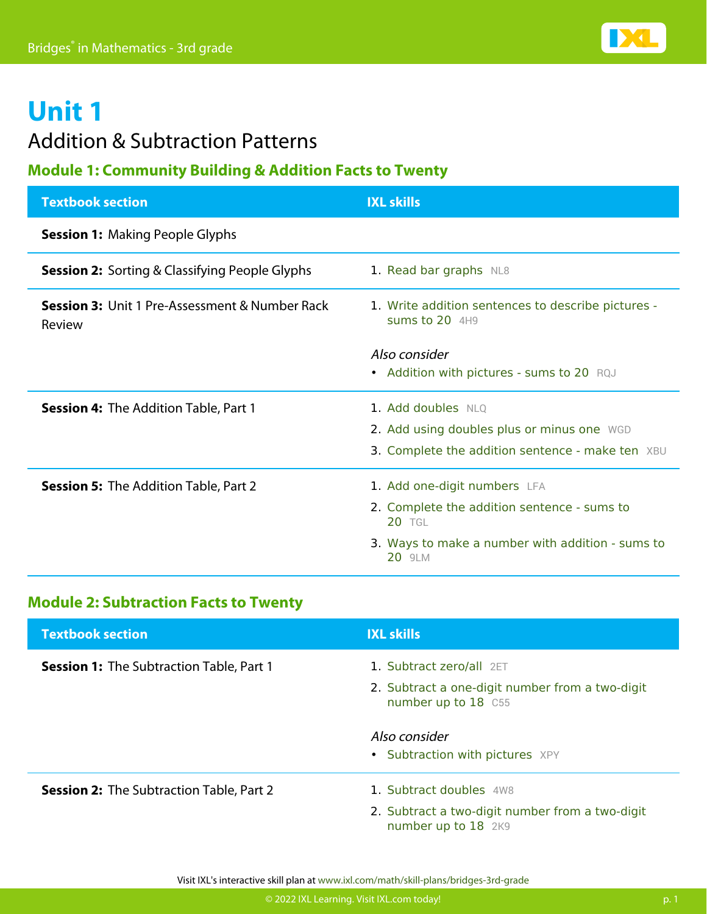### Addition & Subtraction Patterns

#### **Module 1: Community Building & Addition Facts to Twenty**

| <b>Textbook section</b>                                             | <b>IXL skills</b>                                                      |
|---------------------------------------------------------------------|------------------------------------------------------------------------|
| <b>Session 1: Making People Glyphs</b>                              |                                                                        |
| <b>Session 2:</b> Sorting & Classifying People Glyphs               | 1. Read bar graphs NL8                                                 |
| <b>Session 3: Unit 1 Pre-Assessment &amp; Number Rack</b><br>Review | 1. Write addition sentences to describe pictures -<br>sums to $20$ 4H9 |
|                                                                     | Also consider<br>• Addition with pictures - sums to 20 RQJ             |
| <b>Session 4:</b> The Addition Table, Part 1                        | 1. Add doubles NLQ                                                     |
|                                                                     | 2. Add using doubles plus or minus one WGD                             |
|                                                                     | 3. Complete the addition sentence - make ten XBU                       |
| <b>Session 5:</b> The Addition Table, Part 2                        | 1. Add one-digit numbers LFA                                           |
|                                                                     | 2. Complete the addition sentence - sums to<br><b>20 TGL</b>           |
|                                                                     | 3. Ways to make a number with addition - sums to<br>20 9LM             |

#### **Module 2: Subtraction Facts to Twenty**

| <b>Textbook section</b>                         | <b>IXL skills</b>                                                                                  |
|-------------------------------------------------|----------------------------------------------------------------------------------------------------|
| <b>Session 1:</b> The Subtraction Table, Part 1 | 1. Subtract zero/all 2ET<br>2. Subtract a one-digit number from a two-digit<br>number up to 18 C55 |
|                                                 | Also consider<br>• Subtraction with pictures XPY                                                   |
| <b>Session 2:</b> The Subtraction Table, Part 2 | 1. Subtract doubles 4W8                                                                            |
|                                                 | 2. Subtract a two-digit number from a two-digit<br>number up to 18 2K9                             |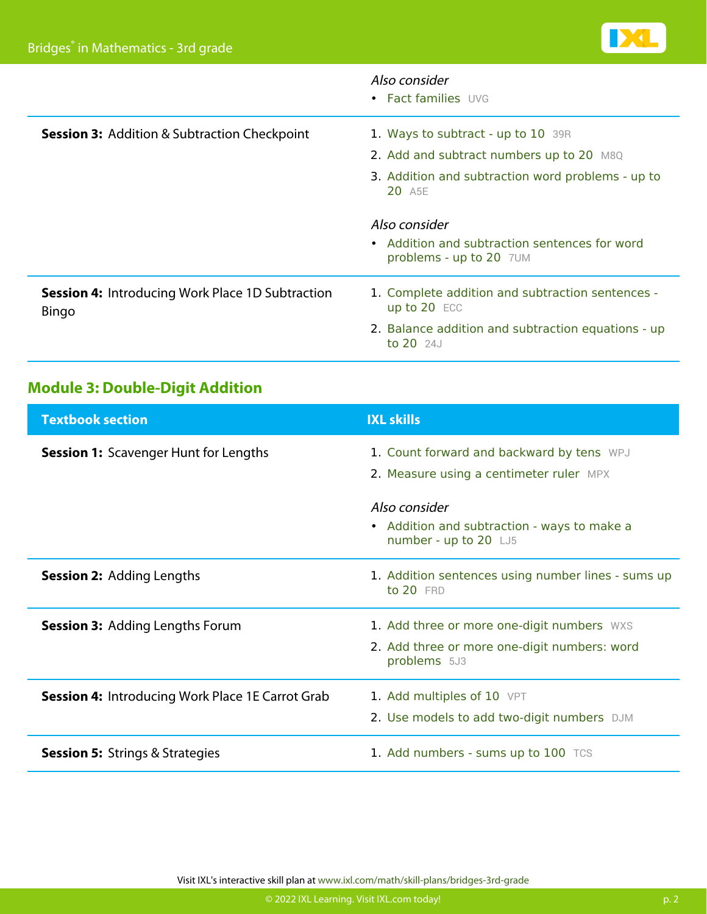|                                                                  | Also consider<br>• Fact families UVG                                                      |
|------------------------------------------------------------------|-------------------------------------------------------------------------------------------|
| <b>Session 3: Addition &amp; Subtraction Checkpoint</b>          | 1. Ways to subtract - up to 10 39R                                                        |
|                                                                  | 2. Add and subtract numbers up to 20 M8Q                                                  |
|                                                                  | 3. Addition and subtraction word problems - up to<br>20 A <sub>5E</sub>                   |
|                                                                  | Also consider<br>• Addition and subtraction sentences for word<br>problems - up to 20 7UM |
| <b>Session 4: Introducing Work Place 1D Subtraction</b><br>Bingo | 1. Complete addition and subtraction sentences -<br>up to 20 ECC                          |
|                                                                  | 2. Balance addition and subtraction equations - up<br>to $20$ $24J$                       |

### **Module 3: Double-Digit Addition**

| <b>Textbook section</b>                                 | <b>IXL skills</b>                                                                                          |
|---------------------------------------------------------|------------------------------------------------------------------------------------------------------------|
| <b>Session 1:</b> Scavenger Hunt for Lengths            | 1. Count forward and backward by tens WPJ<br>2. Measure using a centimeter ruler MPX                       |
|                                                         | Also consider<br>• Addition and subtraction - ways to make a<br>number - up to 20 LJ5                      |
| <b>Session 2: Adding Lengths</b>                        | 1. Addition sentences using number lines - sums up<br>to 20 FRD                                            |
| <b>Session 3: Adding Lengths Forum</b>                  | 1. Add three or more one-digit numbers WXS<br>2. Add three or more one-digit numbers: word<br>problems 5J3 |
| <b>Session 4:</b> Introducing Work Place 1E Carrot Grab | 1. Add multiples of 10 VPT<br>2. Use models to add two-digit numbers DJM                                   |
| <b>Session 5:</b> Strings & Strategies                  | 1. Add numbers - sums up to 100 TCS                                                                        |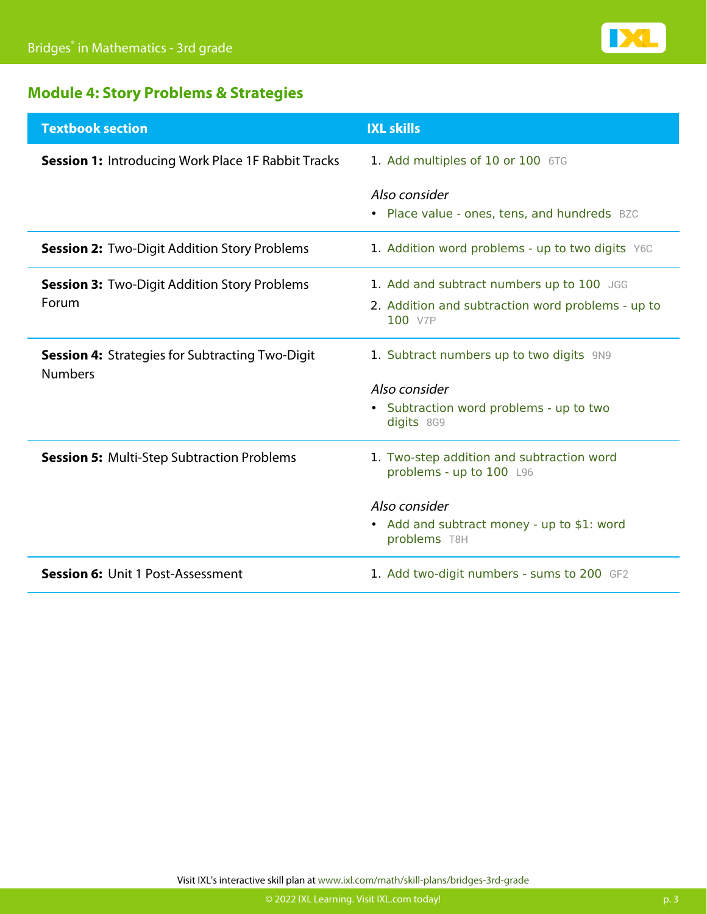

### **Module 4: Story Problems & Strategies**

| <b>Textbook section</b>                                                  | <b>IXL skills</b>                                                                                                                                    |
|--------------------------------------------------------------------------|------------------------------------------------------------------------------------------------------------------------------------------------------|
| <b>Session 1: Introducing Work Place 1F Rabbit Tracks</b>                | 1. Add multiples of 10 or 100 6TG                                                                                                                    |
|                                                                          | Also consider<br>• Place value - ones, tens, and hundreds BZC                                                                                        |
| <b>Session 2: Two-Digit Addition Story Problems</b>                      | 1. Addition word problems - up to two digits Y6C                                                                                                     |
| <b>Session 3: Two-Digit Addition Story Problems</b><br><b>Forum</b>      | 1. Add and subtract numbers up to 100 JGG<br>2. Addition and subtraction word problems - up to<br>100 V7P                                            |
| <b>Session 4: Strategies for Subtracting Two-Digit</b><br><b>Numbers</b> | 1. Subtract numbers up to two digits 9N9<br>Also consider<br>• Subtraction word problems - up to two<br>digits 8G9                                   |
| <b>Session 5: Multi-Step Subtraction Problems</b>                        | 1. Two-step addition and subtraction word<br>problems - up to 100 L96<br>Also consider<br>• Add and subtract money - up to \$1: word<br>problems T8H |
| <b>Session 6: Unit 1 Post-Assessment</b>                                 | 1. Add two-digit numbers - sums to 200 GF2                                                                                                           |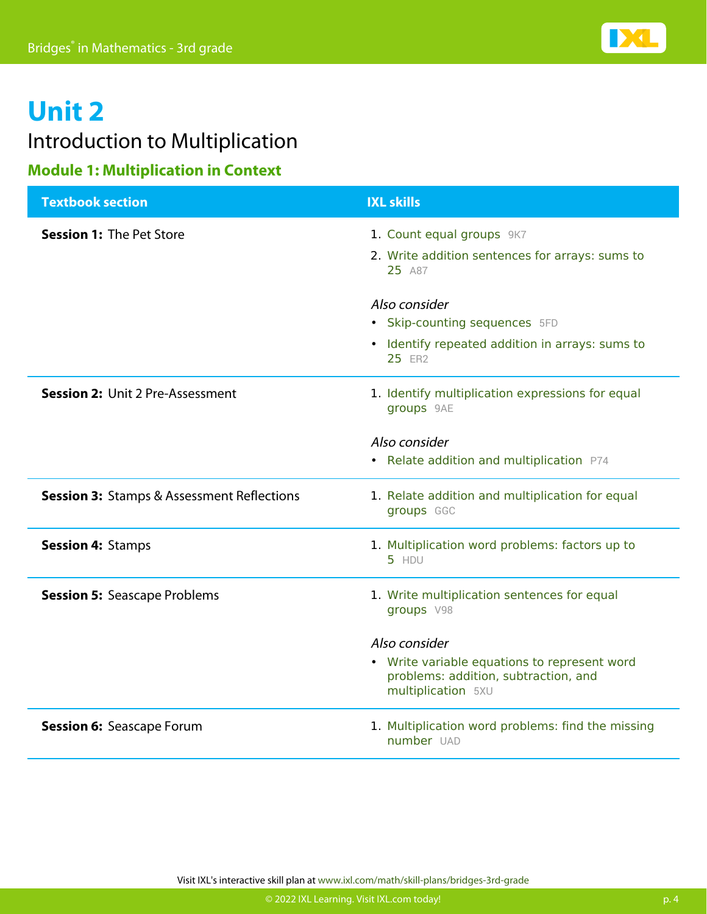### Introduction to Multiplication

### **Module 1: Multiplication in Context**

| <b>Textbook section</b>                               | <b>IXL skills</b>                                                                                                           |
|-------------------------------------------------------|-----------------------------------------------------------------------------------------------------------------------------|
| <b>Session 1: The Pet Store</b>                       | 1. Count equal groups 9K7<br>2. Write addition sentences for arrays: sums to<br>25 A87                                      |
|                                                       | Also consider<br>• Skip-counting sequences 5FD<br>• Identify repeated addition in arrays: sums to<br>25 ER2                 |
| <b>Session 2: Unit 2 Pre-Assessment</b>               | 1. Identify multiplication expressions for equal<br>groups 9AE<br>Also consider                                             |
|                                                       | • Relate addition and multiplication P74                                                                                    |
| <b>Session 3: Stamps &amp; Assessment Reflections</b> | 1. Relate addition and multiplication for equal<br>groups GGC                                                               |
| <b>Session 4: Stamps</b>                              | 1. Multiplication word problems: factors up to<br>5 HDU                                                                     |
| <b>Session 5: Seascape Problems</b>                   | 1. Write multiplication sentences for equal<br>groups V98                                                                   |
|                                                       | Also consider<br>• Write variable equations to represent word<br>problems: addition, subtraction, and<br>multiplication 5XU |
| <b>Session 6: Seascape Forum</b>                      | 1. Multiplication word problems: find the missing<br>number UAD                                                             |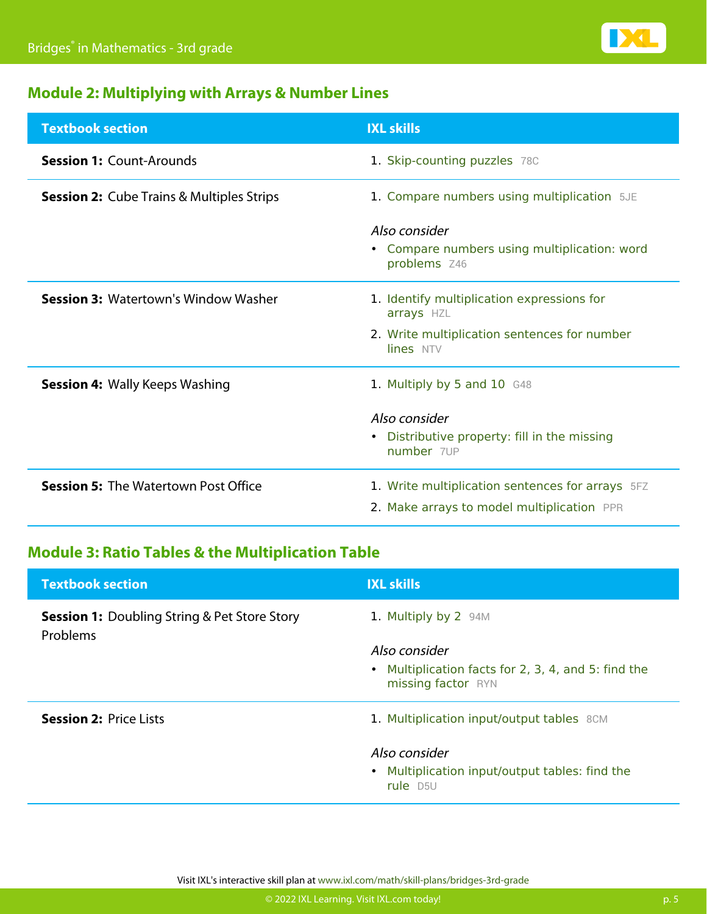

### **Module 2: Multiplying with Arrays & Number Lines**

| <b>Textbook section</b>                          | <b>IXL skills</b>                                                                              |
|--------------------------------------------------|------------------------------------------------------------------------------------------------|
| <b>Session 1: Count-Arounds</b>                  | 1. Skip-counting puzzles 78C                                                                   |
| <b>Session 2:</b> Cube Trains & Multiples Strips | 1. Compare numbers using multiplication 5JE                                                    |
|                                                  | Also consider<br>• Compare numbers using multiplication: word<br>problems Z46                  |
| <b>Session 3: Watertown's Window Washer</b>      | 1. Identify multiplication expressions for<br>arrays HZL                                       |
|                                                  | 2. Write multiplication sentences for number<br>lines NTV                                      |
| <b>Session 4: Wally Keeps Washing</b>            | 1. Multiply by 5 and 10 G48                                                                    |
|                                                  | Also consider<br>Distributive property: fill in the missing<br>$\bullet$<br>number 7UP         |
| <b>Session 5: The Watertown Post Office</b>      | 1. Write multiplication sentences for arrays 5FZ<br>2. Make arrays to model multiplication PPR |

### **Module 3: Ratio Tables & the Multiplication Table**

| <b>Textbook section</b>                                         | <b>IXL skills</b>                                                                          |
|-----------------------------------------------------------------|--------------------------------------------------------------------------------------------|
| <b>Session 1:</b> Doubling String & Pet Store Story<br>Problems | 1. Multiply by 2 94M                                                                       |
|                                                                 | Also consider<br>• Multiplication facts for 2, 3, 4, and 5: find the<br>missing factor RYN |
| <b>Session 2: Price Lists</b>                                   | 1. Multiplication input/output tables 8CM                                                  |
|                                                                 | Also consider<br>• Multiplication input/output tables: find the                            |
|                                                                 | rule D <sub>5U</sub>                                                                       |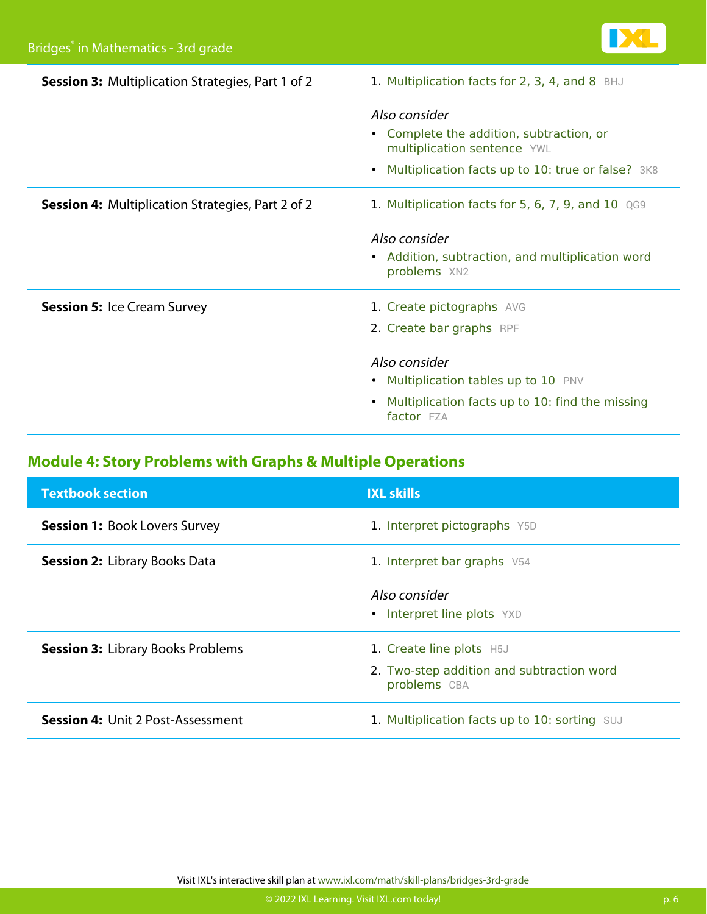| <b>Session 3: Multiplication Strategies, Part 1 of 2</b> | 1. Multiplication facts for 2, 3, 4, and 8 BHJ                                                                                                |
|----------------------------------------------------------|-----------------------------------------------------------------------------------------------------------------------------------------------|
|                                                          | Also consider<br>• Complete the addition, subtraction, or<br>multiplication sentence YWL<br>Multiplication facts up to 10: true or false? 3K8 |
| <b>Session 4: Multiplication Strategies, Part 2 of 2</b> | 1. Multiplication facts for 5, 6, 7, 9, and 10 QG9                                                                                            |
|                                                          | Also consider<br>• Addition, subtraction, and multiplication word<br>problems XN2                                                             |
| <b>Session 5: Ice Cream Survey</b>                       | 1. Create pictographs AVG<br>2. Create bar graphs RPF                                                                                         |
|                                                          | Also consider<br>• Multiplication tables up to 10 PNV<br>Multiplication facts up to 10: find the missing<br>factor FZA                        |

### **Module 4: Story Problems with Graphs & Multiple Operations**

| <b>Textbook section</b>                  | <b>IXL skills</b>                                         |
|------------------------------------------|-----------------------------------------------------------|
| <b>Session 1: Book Lovers Survey</b>     | 1. Interpret pictographs Y5D                              |
| <b>Session 2: Library Books Data</b>     | 1. Interpret bar graphs V54                               |
|                                          | Also consider<br>• Interpret line plots YXD               |
| <b>Session 3: Library Books Problems</b> | 1. Create line plots H5J                                  |
|                                          | 2. Two-step addition and subtraction word<br>problems CBA |
| <b>Session 4:</b> Unit 2 Post-Assessment | 1. Multiplication facts up to 10: sorting SUJ             |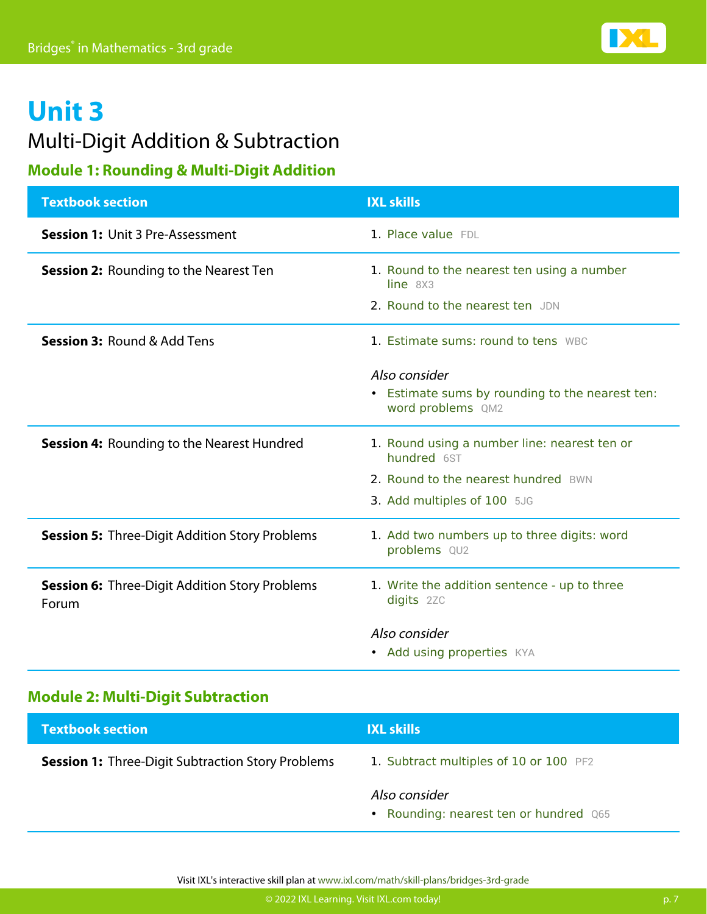### Multi-Digit Addition & Subtraction

### **Module 1: Rounding & Multi-Digit Addition**

| <b>Textbook section</b>                                        | <b>IXL skills</b>                                                    |
|----------------------------------------------------------------|----------------------------------------------------------------------|
| <b>Session 1: Unit 3 Pre-Assessment</b>                        | 1. Place value FDL                                                   |
| <b>Session 2: Rounding to the Nearest Ten</b>                  | 1. Round to the nearest ten using a number<br>line 8X3               |
|                                                                | 2. Round to the nearest ten JDN                                      |
| <b>Session 3: Round &amp; Add Tens</b>                         | 1. Estimate sums: round to tens WBC                                  |
|                                                                | Also consider                                                        |
|                                                                | • Estimate sums by rounding to the nearest ten:<br>word problems QM2 |
| <b>Session 4: Rounding to the Nearest Hundred</b>              | 1. Round using a number line: nearest ten or<br>hundred 6ST          |
|                                                                | 2. Round to the nearest hundred BWN                                  |
|                                                                | 3. Add multiples of 100 5JG                                          |
| <b>Session 5: Three-Digit Addition Story Problems</b>          | 1. Add two numbers up to three digits: word<br>problems QU2          |
| <b>Session 6: Three-Digit Addition Story Problems</b><br>Forum | 1. Write the addition sentence - up to three<br>digits 2ZC           |
|                                                                | Also consider                                                        |
|                                                                | • Add using properties KYA                                           |

### **Module 2: Multi-Digit Subtraction**

| <b>Textbook section</b>                                  | <b>IXL skills</b>                                       |
|----------------------------------------------------------|---------------------------------------------------------|
| <b>Session 1:</b> Three-Digit Subtraction Story Problems | 1. Subtract multiples of 10 or 100 PF2                  |
|                                                          | Also consider<br>• Rounding: nearest ten or hundred Q65 |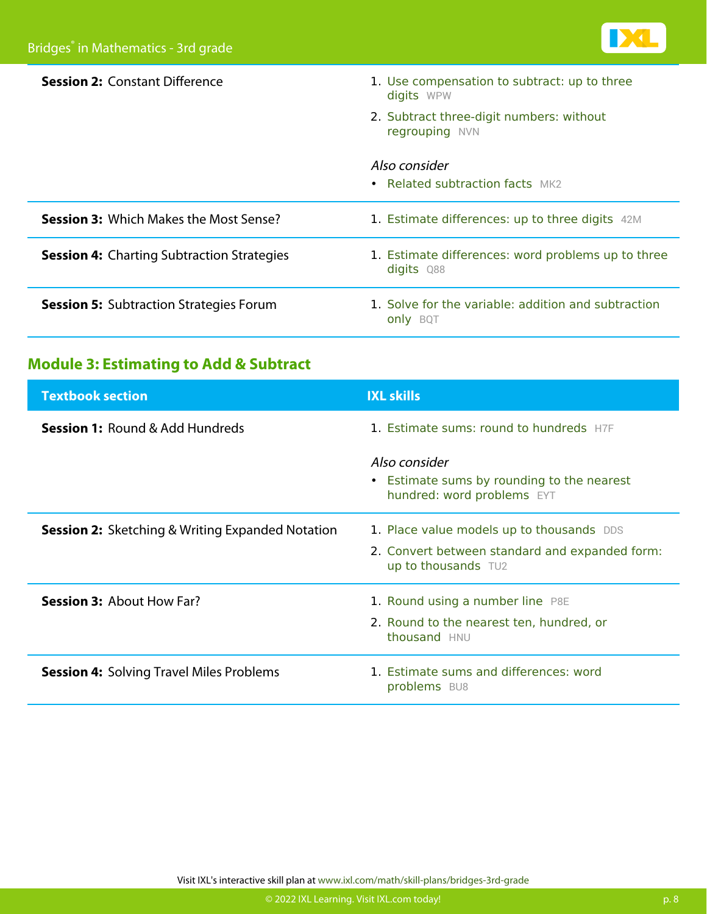

| <b>Session 2: Constant Difference</b>             | 1. Use compensation to subtract: up to three<br>digits WPW             |
|---------------------------------------------------|------------------------------------------------------------------------|
|                                                   | 2. Subtract three-digit numbers: without<br>regrouping NVN             |
|                                                   | Also consider<br>• Related subtraction facts $MK2$                     |
| <b>Session 3: Which Makes the Most Sense?</b>     | 1. Estimate differences: up to three digits 42M                        |
| <b>Session 4: Charting Subtraction Strategies</b> | 1. Estimate differences: word problems up to three<br>digits Q88       |
| <b>Session 5: Subtraction Strategies Forum</b>    | 1. Solve for the variable: addition and subtraction<br><b>only</b> BQT |

### **Module 3: Estimating to Add & Subtract**

| <b>Textbook section</b>                                 | <b>IXL skills</b>                                                                         |
|---------------------------------------------------------|-------------------------------------------------------------------------------------------|
| <b>Session 1: Round &amp; Add Hundreds</b>              | 1. Estimate sums: round to hundreds H7F                                                   |
|                                                         | Also consider<br>• Estimate sums by rounding to the nearest<br>hundred: word problems EYT |
| <b>Session 2:</b> Sketching & Writing Expanded Notation | 1. Place value models up to thousands DDS                                                 |
|                                                         | 2. Convert between standard and expanded form:<br>up to thousands TU2                     |
| <b>Session 3: About How Far?</b>                        | 1. Round using a number line P8E                                                          |
|                                                         | 2. Round to the nearest ten, hundred, or<br>thousand HNU                                  |
| <b>Session 4: Solving Travel Miles Problems</b>         | 1. Estimate sums and differences: word<br>problems BU8                                    |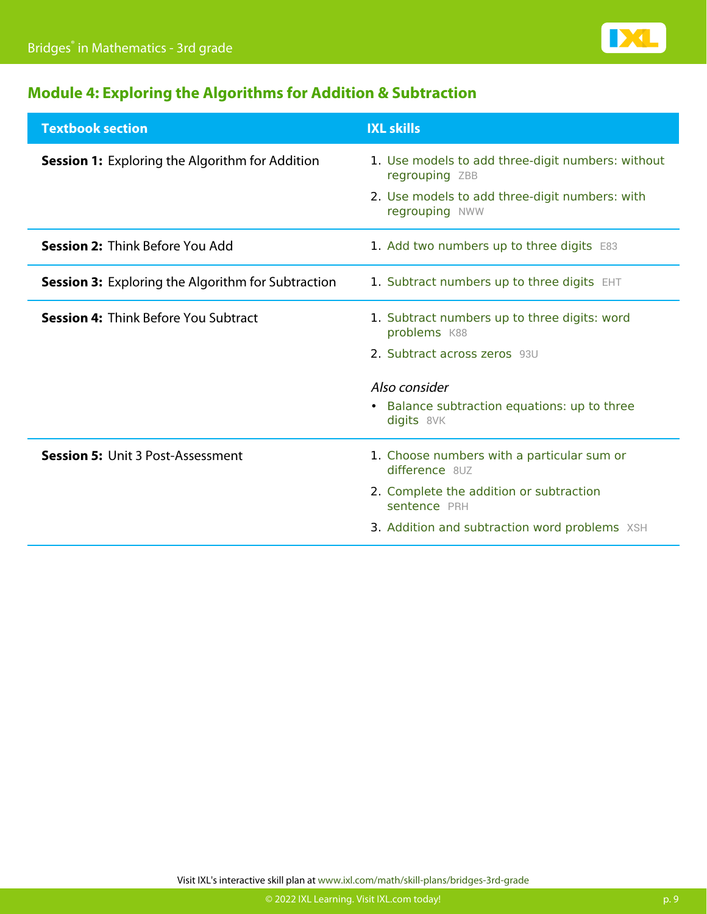

### **Module 4: Exploring the Algorithms for Addition & Subtraction**

| <b>Textbook section</b>                                   | <b>IXL skills</b>                                                   |
|-----------------------------------------------------------|---------------------------------------------------------------------|
| <b>Session 1:</b> Exploring the Algorithm for Addition    | 1. Use models to add three-digit numbers: without<br>regrouping ZBB |
|                                                           | 2. Use models to add three-digit numbers: with<br>regrouping NWW    |
| <b>Session 2: Think Before You Add</b>                    | 1. Add two numbers up to three digits E83                           |
| <b>Session 3:</b> Exploring the Algorithm for Subtraction | 1. Subtract numbers up to three digits EHT                          |
| <b>Session 4: Think Before You Subtract</b>               | 1. Subtract numbers up to three digits: word<br>problems K88        |
|                                                           | 2. Subtract across zeros 93U                                        |
|                                                           | Also consider                                                       |
|                                                           | • Balance subtraction equations: up to three<br>digits 8VK          |
| <b>Session 5: Unit 3 Post-Assessment</b>                  | 1. Choose numbers with a particular sum or<br>difference 8UZ        |
|                                                           | 2. Complete the addition or subtraction<br>sentence PRH             |
|                                                           | 3. Addition and subtraction word problems XSH                       |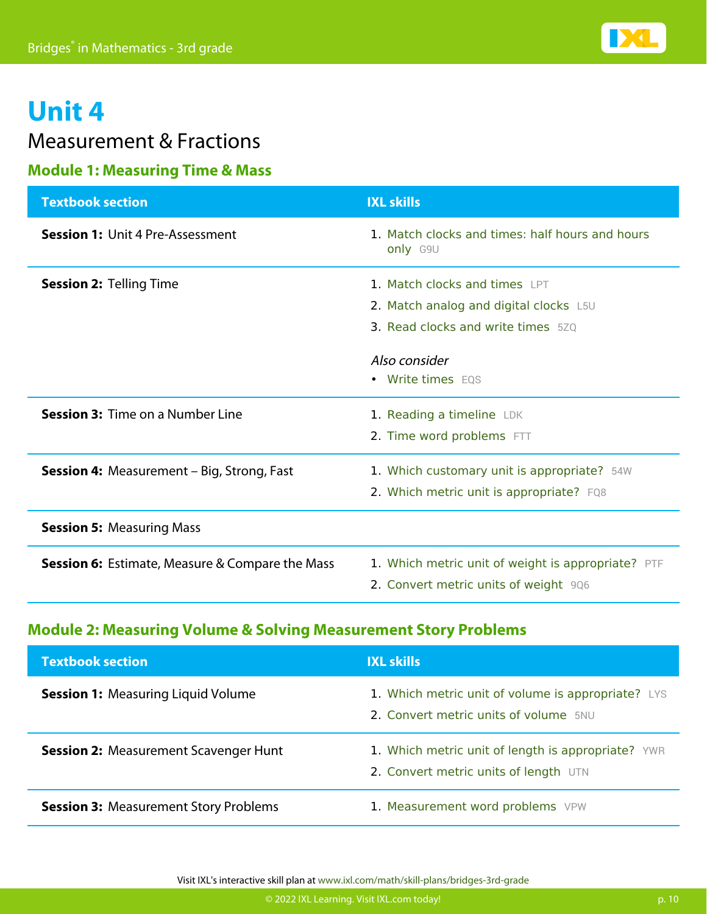

### Measurement & Fractions

### **Module 1: Measuring Time & Mass**

| <b>Textbook section</b>                                | <b>IXL skills</b>                                                                                                                     |
|--------------------------------------------------------|---------------------------------------------------------------------------------------------------------------------------------------|
| <b>Session 1: Unit 4 Pre-Assessment</b>                | 1. Match clocks and times: half hours and hours<br>only G9U                                                                           |
| <b>Session 2: Telling Time</b>                         | 1. Match clocks and times LPT<br>2. Match analog and digital clocks L5U<br><b>3. Read clocks and write times</b> 520<br>Also consider |
|                                                        | • Write times EQS                                                                                                                     |
| <b>Session 3: Time on a Number Line</b>                | 1. Reading a timeline LDK<br>2. Time word problems FTT                                                                                |
| <b>Session 4: Measurement - Big, Strong, Fast</b>      | 1. Which customary unit is appropriate? 54W<br>2. Which metric unit is appropriate? FQ8                                               |
| <b>Session 5: Measuring Mass</b>                       |                                                                                                                                       |
| <b>Session 6:</b> Estimate, Measure & Compare the Mass | 1. Which metric unit of weight is appropriate? PTF<br>2. Convert metric units of weight 906                                           |

### **Module 2: Measuring Volume & Solving Measurement Story Problems**

| <b>Textbook section</b>                      | <b>IXL skills</b>                                                                           |
|----------------------------------------------|---------------------------------------------------------------------------------------------|
| <b>Session 1: Measuring Liquid Volume</b>    | 1. Which metric unit of volume is appropriate? LYS<br>2. Convert metric units of volume 5NU |
| <b>Session 2: Measurement Scavenger Hunt</b> | 1. Which metric unit of length is appropriate? YWR<br>2. Convert metric units of length UTN |
| <b>Session 3: Measurement Story Problems</b> | 1. Measurement word problems VPW                                                            |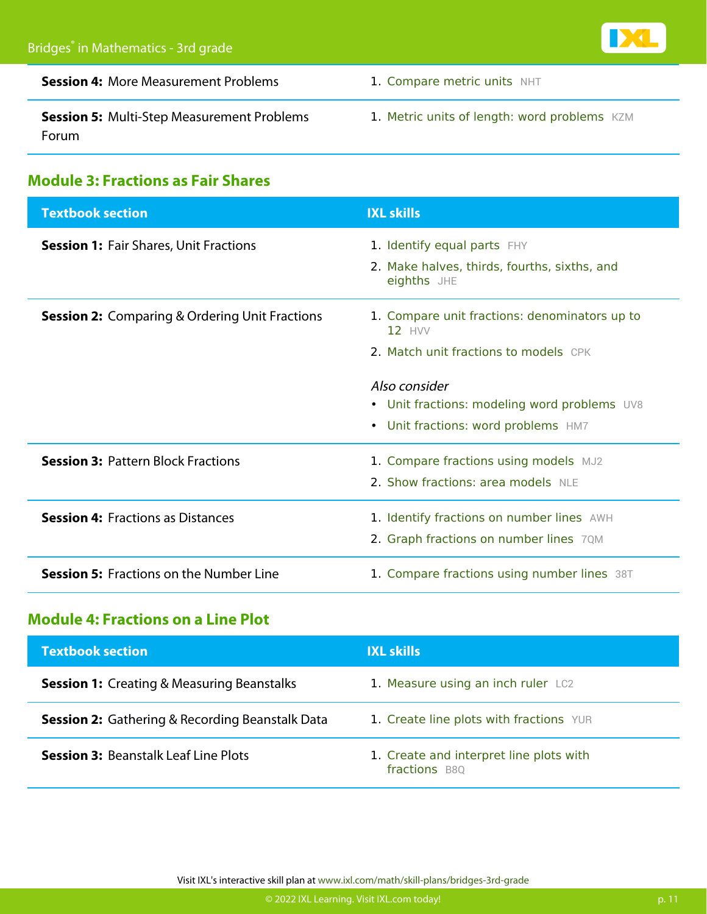

| <b>Session 4: More Measurement Problems</b>                       | 1. Compare metric units NHT                  |
|-------------------------------------------------------------------|----------------------------------------------|
| <b>Session 5: Multi-Step Measurement Problems</b><br><b>Forum</b> | 1. Metric units of length: word problems KZM |

### **Module 3: Fractions as Fair Shares**

| <b>Textbook section</b>                               | <b>IXL skills</b>                                                                                    |
|-------------------------------------------------------|------------------------------------------------------------------------------------------------------|
| <b>Session 1: Fair Shares, Unit Fractions</b>         | 1. Identify equal parts FHY<br>2. Make halves, thirds, fourths, sixths, and<br>eighths JHE           |
| <b>Session 2:</b> Comparing & Ordering Unit Fractions | 1. Compare unit fractions: denominators up to<br>$12$ HVV<br>2. Match unit fractions to models CPK   |
|                                                       | Also consider<br>• Unit fractions: modeling word problems UV8<br>• Unit fractions: word problems HM7 |
| <b>Session 3: Pattern Block Fractions</b>             | 1. Compare fractions using models MJ2<br>2. Show fractions: area models NLE                          |
| <b>Session 4: Fractions as Distances</b>              | 1. Identify fractions on number lines AWH<br>2. Graph fractions on number lines 7QM                  |
| <b>Session 5: Fractions on the Number Line</b>        | 1. Compare fractions using number lines 38T                                                          |

#### **Module 4: Fractions on a Line Plot**

| <b>Textbook section</b>                                | <b>IXL skills</b>                                        |
|--------------------------------------------------------|----------------------------------------------------------|
| <b>Session 1:</b> Creating & Measuring Beanstalks      | 1. Measure using an inch ruler LC2                       |
| <b>Session 2:</b> Gathering & Recording Beanstalk Data | 1. Create line plots with fractions YUR                  |
| <b>Session 3: Beanstalk Leaf Line Plots</b>            | 1. Create and interpret line plots with<br>fractions B8Q |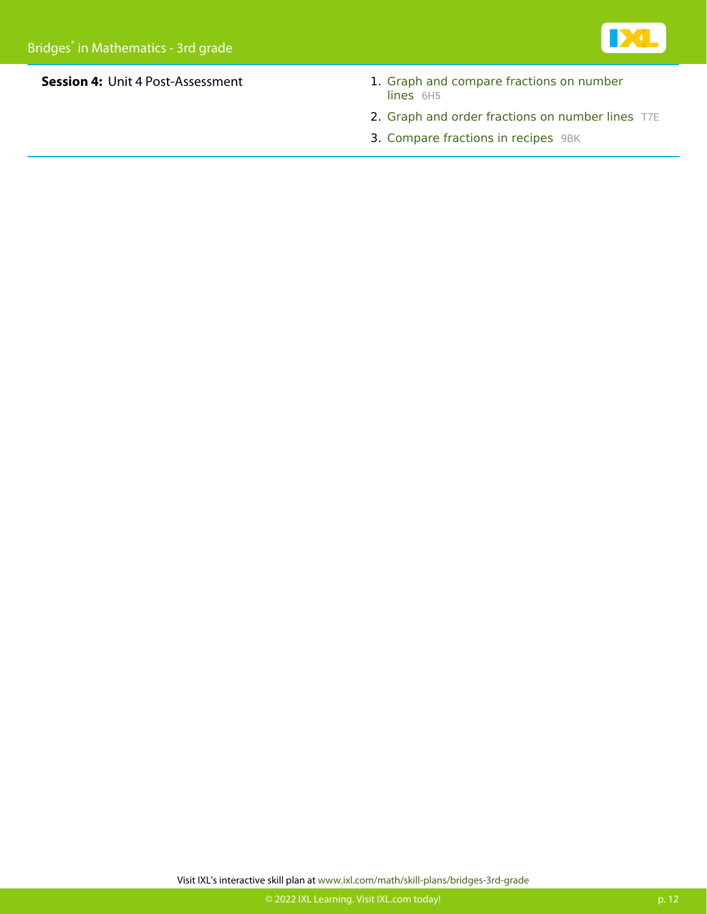

- **Session 4:** Unit 4 Post-Assessment 1. [Graph and compare fractions on number](https://www.ixl.com/math/grade-3/graph-and-compare-fractions-on-number-lines) [lines](https://www.ixl.com/math/grade-3/graph-and-compare-fractions-on-number-lines) [6H5](https://www.ixl.com/math/grade-3/graph-and-compare-fractions-on-number-lines)
	- 2. [Graph and order fractions on number lines](https://www.ixl.com/math/grade-3/graph-and-order-fractions-on-number-lines) [T7E](https://www.ixl.com/math/grade-3/graph-and-order-fractions-on-number-lines)
	- 3. [Compare fractions in recipes](https://www.ixl.com/math/grade-3/compare-fractions-in-recipes) [9BK](https://www.ixl.com/math/grade-3/compare-fractions-in-recipes)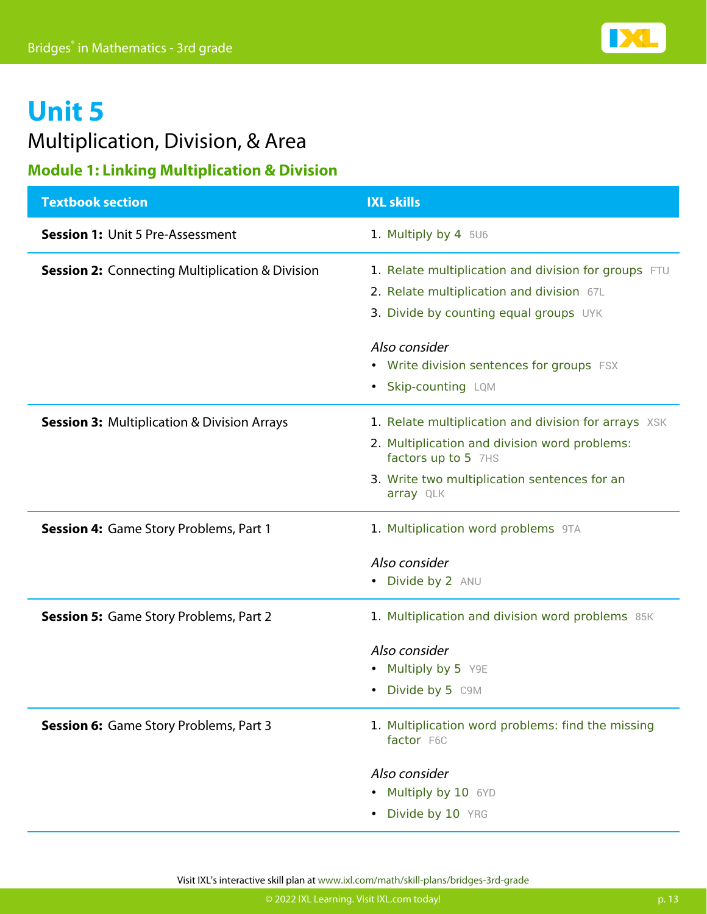### Multiplication, Division, & Area

#### **Module 1: Linking Multiplication & Division**

| <b>Textbook section</b>                                    | <b>IXL skills</b>                                                    |
|------------------------------------------------------------|----------------------------------------------------------------------|
| <b>Session 1: Unit 5 Pre-Assessment</b>                    | 1. Multiply by 4 5U6                                                 |
| <b>Session 2: Connecting Multiplication &amp; Division</b> | 1. Relate multiplication and division for groups FTU                 |
|                                                            | 2. Relate multiplication and division 67L                            |
|                                                            | 3. Divide by counting equal groups UYK                               |
|                                                            | Also consider                                                        |
|                                                            | • Write division sentences for groups FSX                            |
|                                                            | <b>Skip-counting LQM</b><br>٠                                        |
| <b>Session 3: Multiplication &amp; Division Arrays</b>     | 1. Relate multiplication and division for arrays XSK                 |
|                                                            | 2. Multiplication and division word problems:<br>factors up to 5 7HS |
|                                                            | 3. Write two multiplication sentences for an<br>array QLK            |
| <b>Session 4: Game Story Problems, Part 1</b>              | 1. Multiplication word problems 9TA                                  |
|                                                            | Also consider                                                        |
|                                                            | • Divide by 2 ANU                                                    |
| <b>Session 5: Game Story Problems, Part 2</b>              | 1. Multiplication and division word problems 85K                     |
|                                                            | Also consider                                                        |
|                                                            | Multiply by 5 Y9E<br>٠                                               |
|                                                            | • Divide by 5 C9M                                                    |
| <b>Session 6:</b> Game Story Problems, Part 3              | 1. Multiplication word problems: find the missing<br>factor F6C      |
|                                                            | Also consider                                                        |
|                                                            | Multiply by 10 6YD                                                   |
|                                                            | Divide by 10 YRG                                                     |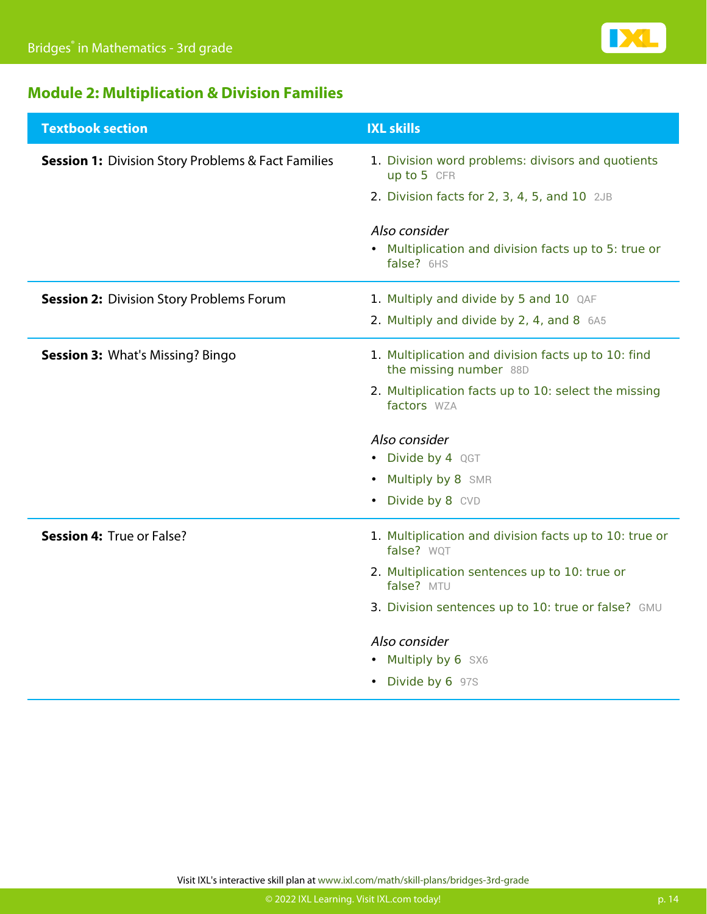

### **Module 2: Multiplication & Division Families**

| <b>Textbook section</b>                                       | <b>IXL skills</b>                                                             |
|---------------------------------------------------------------|-------------------------------------------------------------------------------|
| <b>Session 1: Division Story Problems &amp; Fact Families</b> | 1. Division word problems: divisors and quotients<br>up to 5 CFR              |
|                                                               | 2. Division facts for $2$ , $3$ , $4$ , $5$ , and $10$ $2JB$                  |
|                                                               | Also consider                                                                 |
|                                                               | • Multiplication and division facts up to 5: true or<br>false? 6HS            |
| <b>Session 2: Division Story Problems Forum</b>               | 1. Multiply and divide by 5 and 10 QAF                                        |
|                                                               | 2. Multiply and divide by 2, 4, and 8 6A5                                     |
| <b>Session 3: What's Missing? Bingo</b>                       | 1. Multiplication and division facts up to 10: find<br>the missing number 88D |
|                                                               | 2. Multiplication facts up to 10: select the missing<br>factors WZA           |
|                                                               | Also consider                                                                 |
|                                                               | • Divide by 4 QGT                                                             |
|                                                               | Multiply by 8 SMR<br>$\bullet$                                                |
|                                                               | Divide by 8 CVD<br>$\bullet$                                                  |
| Session 4: True or False?                                     | 1. Multiplication and division facts up to 10: true or<br>false? WQT          |
|                                                               | 2. Multiplication sentences up to 10: true or<br>false? MTU                   |
|                                                               | 3. Division sentences up to 10: true or false? GMU                            |
|                                                               | Also consider                                                                 |
|                                                               | • Multiply by 6 SX6                                                           |
|                                                               | • Divide by 6 97S                                                             |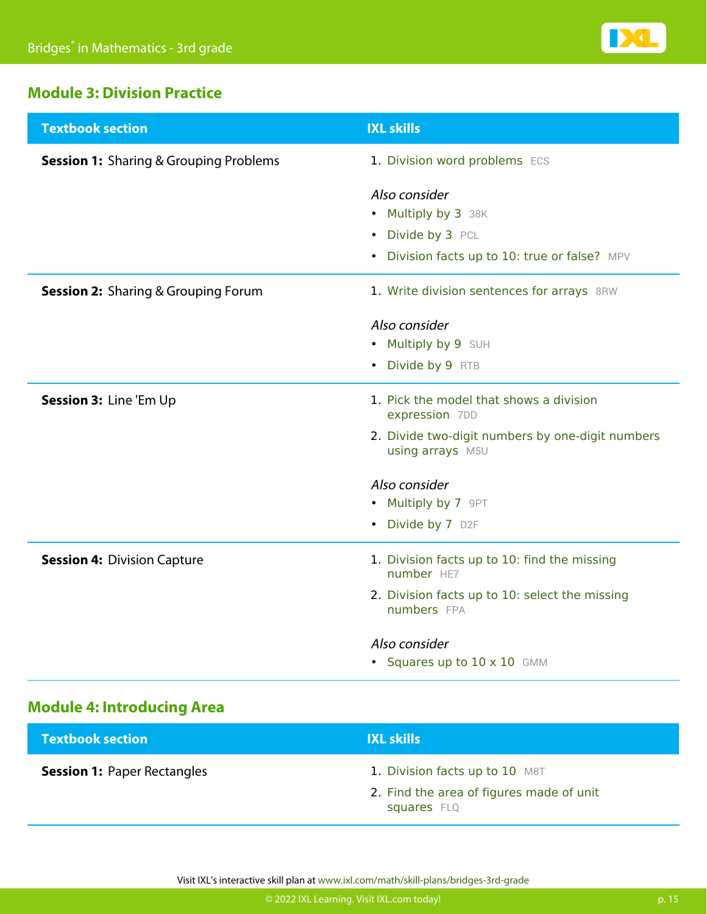

#### **Module 3: Division Practice**

| <b>Textbook section</b>                       | <b>IXL skills</b>                                                    |
|-----------------------------------------------|----------------------------------------------------------------------|
| <b>Session 1:</b> Sharing & Grouping Problems | 1. Division word problems ECS                                        |
|                                               | Also consider                                                        |
|                                               | • Multiply by 3 38K                                                  |
|                                               | • Divide by 3 PCL                                                    |
|                                               | • Division facts up to 10: true or false? MPV                        |
| <b>Session 2:</b> Sharing & Grouping Forum    | 1. Write division sentences for arrays 8RW                           |
|                                               | Also consider                                                        |
|                                               | • Multiply by 9 SUH                                                  |
|                                               | Divide by 9 RTB<br>$\bullet$                                         |
| Session 3: Line 'Em Up                        | 1. Pick the model that shows a division<br>expression 7DD            |
|                                               | 2. Divide two-digit numbers by one-digit numbers<br>using arrays M5U |
|                                               | Also consider                                                        |
|                                               | • Multiply by 7 9PT                                                  |
|                                               | • Divide by 7 D2F                                                    |
| <b>Session 4: Division Capture</b>            | 1. Division facts up to 10: find the missing<br>number HE7           |
|                                               | 2. Division facts up to 10: select the missing<br>numbers FPA        |
|                                               | Also consider                                                        |
|                                               | • Squares up to 10 x 10 GMM                                          |

### **Module 4: Introducing Area**

| <b>Textbook section</b>            | <b>IXL skills</b>                                                                         |
|------------------------------------|-------------------------------------------------------------------------------------------|
| <b>Session 1: Paper Rectangles</b> | 1. Division facts up to 10 M8T<br>2. Find the area of figures made of unit<br>squares FLQ |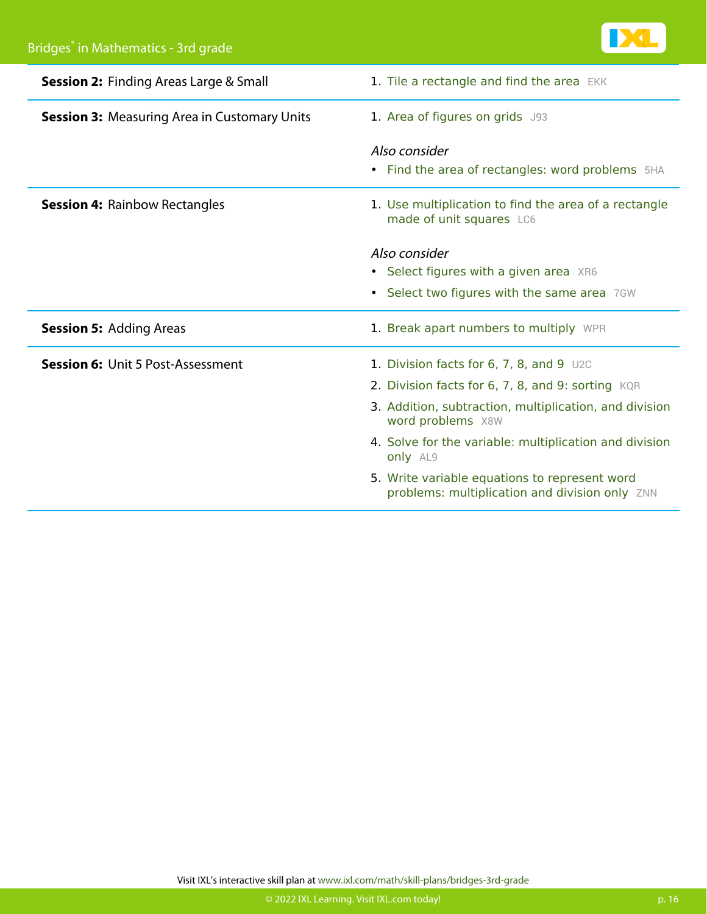

| <b>Session 2: Finding Areas Large &amp; Small</b>   | 1. Tile a rectangle and find the area EKK                                                       |
|-----------------------------------------------------|-------------------------------------------------------------------------------------------------|
| <b>Session 3: Measuring Area in Customary Units</b> | 1. Area of figures on grids J93                                                                 |
|                                                     | Also consider<br>Find the area of rectangles: word problems 5HA<br>٠                            |
| <b>Session 4: Rainbow Rectangles</b>                | 1. Use multiplication to find the area of a rectangle<br>made of unit squares LC6               |
|                                                     | Also consider                                                                                   |
|                                                     | • Select figures with a given area XR6                                                          |
|                                                     | Select two figures with the same area 7GW<br>$\bullet$                                          |
| <b>Session 5: Adding Areas</b>                      | 1. Break apart numbers to multiply WPR                                                          |
| <b>Session 6: Unit 5 Post-Assessment</b>            | 1. Division facts for $6, 7, 8,$ and $9$ U2C                                                    |
|                                                     | 2. Division facts for 6, 7, 8, and 9: sorting KQR                                               |
|                                                     | 3. Addition, subtraction, multiplication, and division<br>word problems X8W                     |
|                                                     | 4. Solve for the variable: multiplication and division<br>only AL9                              |
|                                                     | 5. Write variable equations to represent word<br>problems: multiplication and division only ZNN |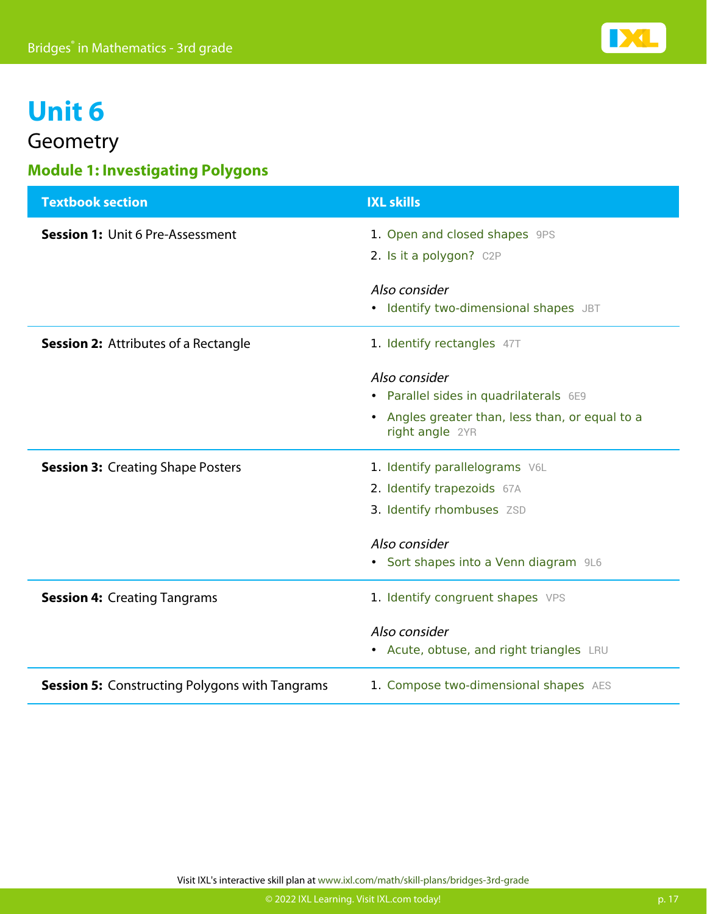

### Geometry

### **Module 1: Investigating Polygons**

| <b>Textbook section</b>                               | <b>IXL skills</b>                                                             |
|-------------------------------------------------------|-------------------------------------------------------------------------------|
| <b>Session 1: Unit 6 Pre-Assessment</b>               | 1. Open and closed shapes 9PS                                                 |
|                                                       | 2. Is it a polygon? C2P                                                       |
|                                                       | Also consider                                                                 |
|                                                       | • Identify two-dimensional shapes JBT                                         |
| <b>Session 2: Attributes of a Rectangle</b>           | 1. Identify rectangles 47T                                                    |
|                                                       | Also consider                                                                 |
|                                                       | • Parallel sides in quadrilaterals 6E9                                        |
|                                                       | Angles greater than, less than, or equal to a<br>$\bullet$<br>right angle 2YR |
| <b>Session 3: Creating Shape Posters</b>              | 1. Identify parallelograms V6L                                                |
|                                                       | 2. Identify trapezoids 67A                                                    |
|                                                       | 3. Identify rhombuses ZSD                                                     |
|                                                       | Also consider                                                                 |
|                                                       | • Sort shapes into a Venn diagram 9L6                                         |
| <b>Session 4: Creating Tangrams</b>                   | 1. Identify congruent shapes VPS                                              |
|                                                       | Also consider                                                                 |
|                                                       | • Acute, obtuse, and right triangles LRU                                      |
| <b>Session 5: Constructing Polygons with Tangrams</b> | 1. Compose two-dimensional shapes AES                                         |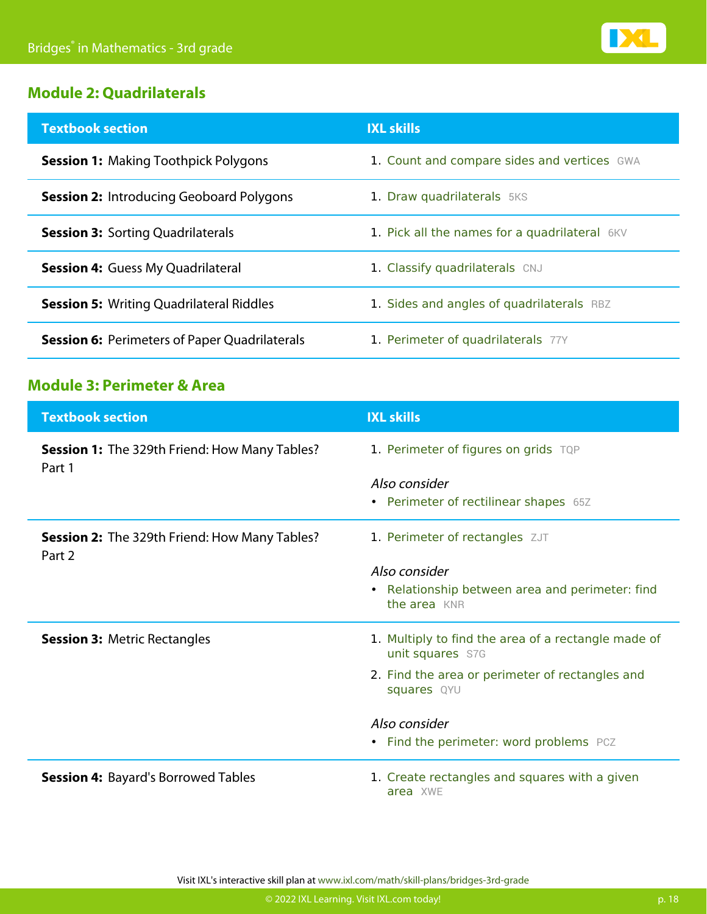

#### **Module 2: Quadrilaterals**

| <b>Textbook section</b>                              | <b>IXL skills</b>                             |
|------------------------------------------------------|-----------------------------------------------|
| <b>Session 1: Making Toothpick Polygons</b>          | 1. Count and compare sides and vertices GWA   |
| <b>Session 2: Introducing Geoboard Polygons</b>      | 1. Draw quadrilaterals 5KS                    |
| <b>Session 3: Sorting Quadrilaterals</b>             | 1. Pick all the names for a quadrilateral 6KV |
| <b>Session 4: Guess My Quadrilateral</b>             | 1. Classify quadrilaterals CNJ                |
| <b>Session 5: Writing Quadrilateral Riddles</b>      | 1. Sides and angles of quadrilaterals RBZ     |
| <b>Session 6:</b> Perimeters of Paper Quadrilaterals | 1. Perimeter of quadrilaterals 77Y            |

### **Module 3: Perimeter & Area**

| <b>Textbook section</b>                                        | <b>IXL skills</b>                                                          |
|----------------------------------------------------------------|----------------------------------------------------------------------------|
| Session 1: The 329th Friend: How Many Tables?<br>Part 1        | 1. Perimeter of figures on grids TQP                                       |
|                                                                | Also consider<br>• Perimeter of rectilinear shapes 65Z                     |
| <b>Session 2:</b> The 329th Friend: How Many Tables?<br>Part 2 | 1. Perimeter of rectangles ZJT                                             |
|                                                                | Also consider                                                              |
|                                                                | Relationship between area and perimeter: find<br>$\bullet$<br>the area KNR |
| <b>Session 3: Metric Rectangles</b>                            | 1. Multiply to find the area of a rectangle made of<br>unit squares S7G    |
|                                                                | 2. Find the area or perimeter of rectangles and<br>squares QYU             |
|                                                                | Also consider                                                              |
|                                                                | • Find the perimeter: word problems PCZ                                    |
| <b>Session 4: Bayard's Borrowed Tables</b>                     | 1. Create rectangles and squares with a given<br>area XWE                  |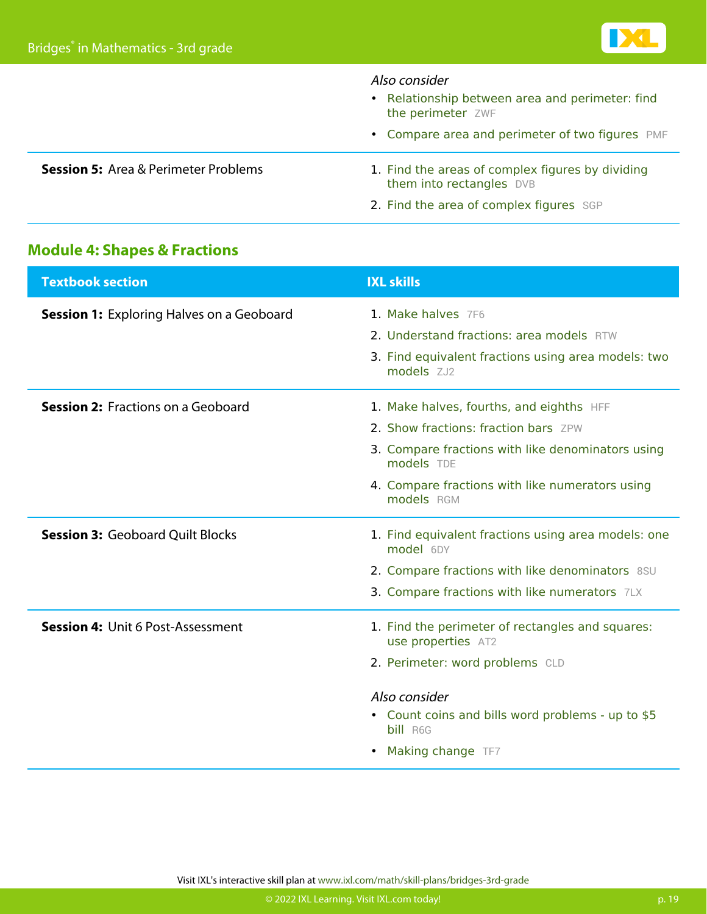|                                             | Also consider<br>• Relationship between area and perimeter: find<br>the perimeter ZWF |
|---------------------------------------------|---------------------------------------------------------------------------------------|
|                                             | • Compare area and perimeter of two figures PMF                                       |
| <b>Session 5:</b> Area & Perimeter Problems | 1. Find the areas of complex figures by dividing<br>them into rectangles DVB          |
|                                             | 2. Find the area of complex figures SGP                                               |

### **Module 4: Shapes & Fractions**

| <b>Textbook section</b>                          | <b>IXL skills</b>                                                                                   |
|--------------------------------------------------|-----------------------------------------------------------------------------------------------------|
| <b>Session 1:</b> Exploring Halves on a Geoboard | 1. Make halves 7F6                                                                                  |
|                                                  | 2. Understand fractions: area models RTW                                                            |
|                                                  | 3. Find equivalent fractions using area models: two<br>models ZJ2                                   |
| <b>Session 2: Fractions on a Geoboard</b>        | 1. Make halves, fourths, and eighths HFF                                                            |
|                                                  | 2. Show fractions: fraction bars ZPW                                                                |
|                                                  | 3. Compare fractions with like denominators using<br>models TDE                                     |
|                                                  | 4. Compare fractions with like numerators using<br>models RGM                                       |
| <b>Session 3: Geoboard Quilt Blocks</b>          | 1. Find equivalent fractions using area models: one<br>model 6DY                                    |
|                                                  | 2. Compare fractions with like denominators 8SU                                                     |
|                                                  | 3. Compare fractions with like numerators 7LX                                                       |
| <b>Session 4: Unit 6 Post-Assessment</b>         | 1. Find the perimeter of rectangles and squares:<br>use properties AT2                              |
|                                                  | 2. Perimeter: word problems CLD                                                                     |
|                                                  | Also consider<br>• Count coins and bills word problems - up to \$5<br>bill R6G<br>Making change TF7 |
|                                                  |                                                                                                     |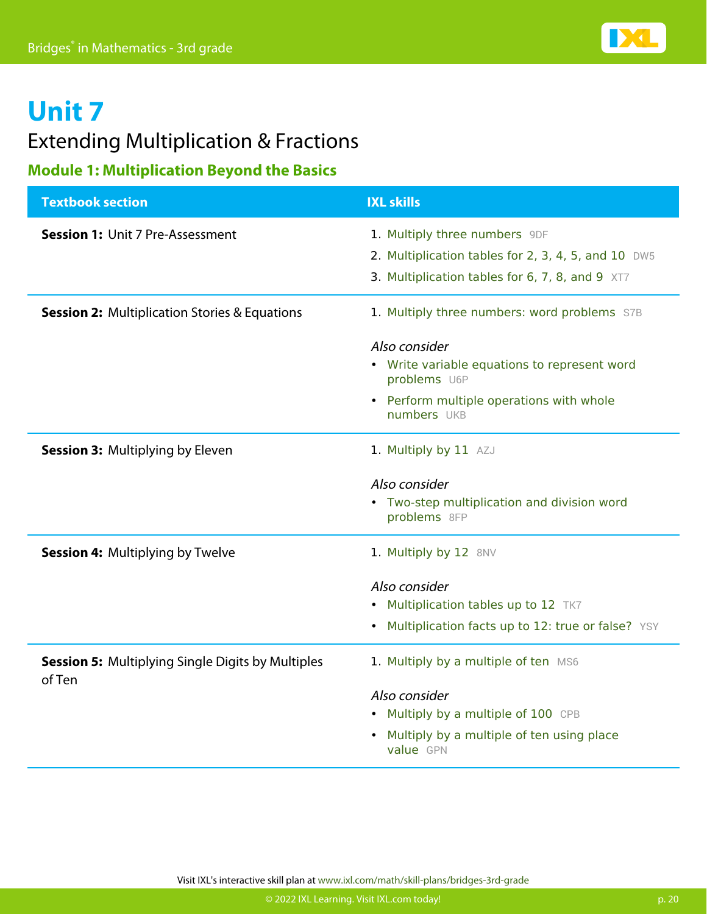### **Unit 7** Extending Multiplication & Fractions

### **Module 1: Multiplication Beyond the Basics**

| <b>Textbook section</b>                                            | <b>IXL skills</b>                                                                    |
|--------------------------------------------------------------------|--------------------------------------------------------------------------------------|
| <b>Session 1: Unit 7 Pre-Assessment</b>                            | 1. Multiply three numbers 9DF<br>2. Multiplication tables for 2, 3, 4, 5, and 10 DW5 |
|                                                                    | 3. Multiplication tables for 6, 7, 8, and 9 XT7                                      |
| <b>Session 2: Multiplication Stories &amp; Equations</b>           | 1. Multiply three numbers: word problems S7B                                         |
|                                                                    | Also consider                                                                        |
|                                                                    | Write variable equations to represent word<br>$\bullet$<br>problems U6P              |
|                                                                    | • Perform multiple operations with whole<br>numbers UKB                              |
| <b>Session 3: Multiplying by Eleven</b>                            | 1. Multiply by 11 AZJ                                                                |
|                                                                    | Also consider                                                                        |
|                                                                    | • Two-step multiplication and division word<br>problems 8FP                          |
| <b>Session 4: Multiplying by Twelve</b>                            | 1. Multiply by 12 8NV                                                                |
|                                                                    | Also consider                                                                        |
|                                                                    | Multiplication tables up to 12 TK7<br>$\bullet$                                      |
|                                                                    | Multiplication facts up to 12: true or false? YSY<br>$\bullet$                       |
| <b>Session 5: Multiplying Single Digits by Multiples</b><br>of Ten | 1. Multiply by a multiple of ten MS6                                                 |
|                                                                    | Also consider                                                                        |
|                                                                    | Multiply by a multiple of 100 CPB<br>$\bullet$                                       |
|                                                                    | Multiply by a multiple of ten using place<br>value GPN                               |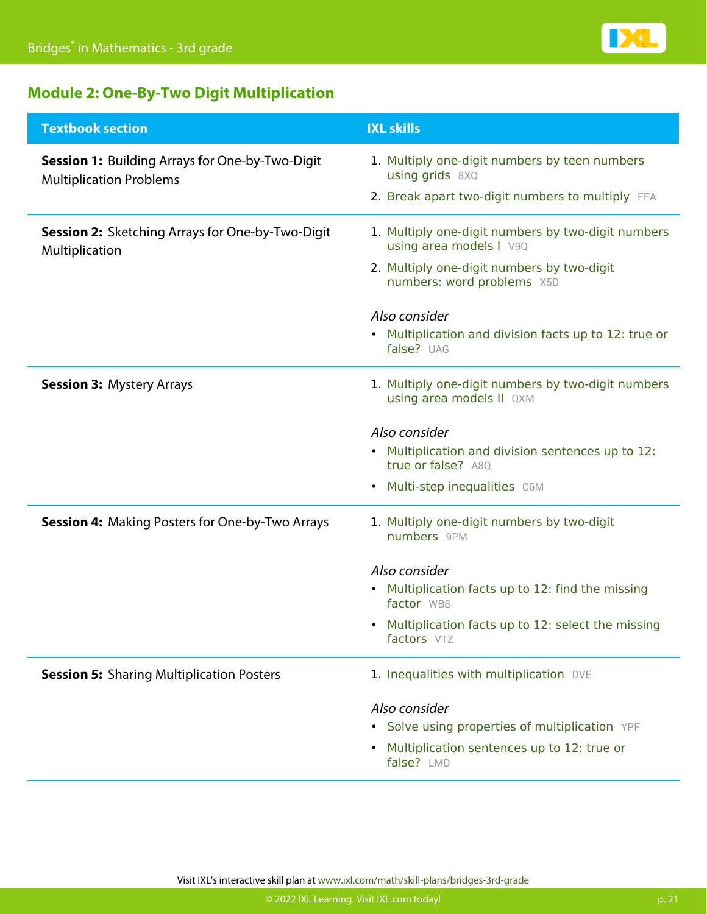

### **Module 2: One-By-Two Digit Multiplication**

| <b>Textbook section</b>                                                                  | <b>IXL skills</b>                                                              |
|------------------------------------------------------------------------------------------|--------------------------------------------------------------------------------|
| <b>Session 1: Building Arrays for One-by-Two-Digit</b><br><b>Multiplication Problems</b> | 1. Multiply one-digit numbers by teen numbers<br>using grids 8XQ               |
|                                                                                          | 2. Break apart two-digit numbers to multiply FFA                               |
| <b>Session 2: Sketching Arrays for One-by-Two-Digit</b><br>Multiplication                | 1. Multiply one-digit numbers by two-digit numbers<br>using area models I V9Q  |
|                                                                                          | 2. Multiply one-digit numbers by two-digit<br>numbers: word problems X5D       |
|                                                                                          | Also consider                                                                  |
|                                                                                          | • Multiplication and division facts up to 12: true or<br>false? UAG            |
| <b>Session 3: Mystery Arrays</b>                                                         | 1. Multiply one-digit numbers by two-digit numbers<br>using area models II QXM |
|                                                                                          | Also consider                                                                  |
|                                                                                          | • Multiplication and division sentences up to 12:<br>true or false? A80        |
|                                                                                          | Multi-step inequalities C6M<br>٠                                               |
| <b>Session 4: Making Posters for One-by-Two Arrays</b>                                   | 1. Multiply one-digit numbers by two-digit<br>numbers 9PM                      |
|                                                                                          | Also consider                                                                  |
|                                                                                          | Multiplication facts up to 12: find the missing<br>factor WB8                  |
|                                                                                          | • Multiplication facts up to 12: select the missing<br>factors VTZ             |
| <b>Session 5: Sharing Multiplication Posters</b>                                         | 1. Inequalities with multiplication DVE                                        |
|                                                                                          | Also consider                                                                  |
|                                                                                          | • Solve using properties of multiplication YPF                                 |
|                                                                                          | Multiplication sentences up to 12: true or<br>$\bullet$<br>false? LMD          |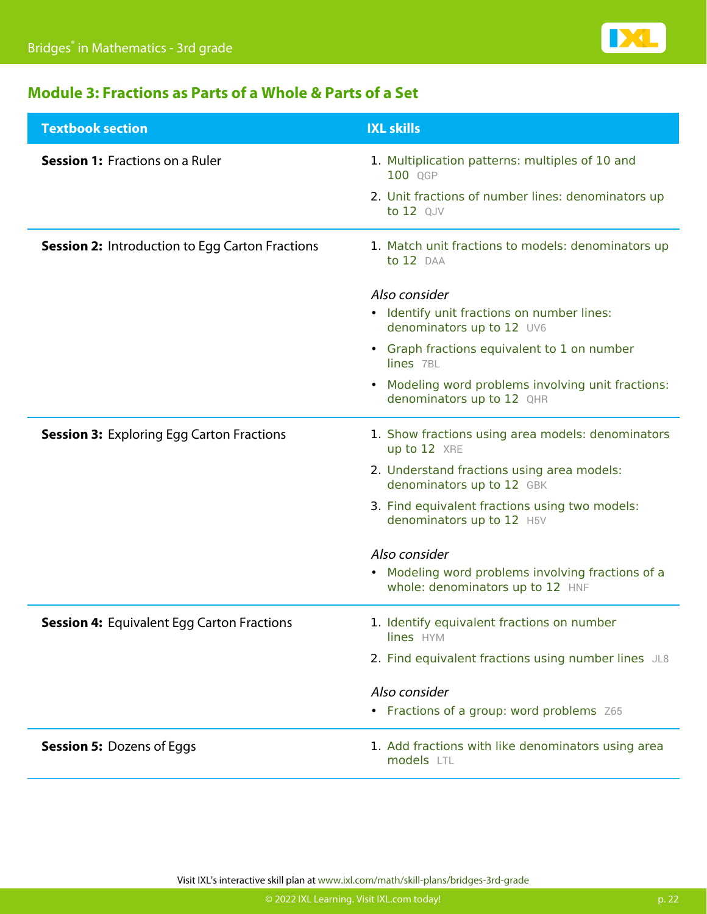

### **Module 3: Fractions as Parts of a Whole & Parts of a Set**

| <b>Textbook section</b>                                | <b>IXL skills</b>                                                                                                |
|--------------------------------------------------------|------------------------------------------------------------------------------------------------------------------|
| <b>Session 1: Fractions on a Ruler</b>                 | 1. Multiplication patterns: multiples of 10 and<br>100 QGP<br>2. Unit fractions of number lines: denominators up |
|                                                        | to 12 QJV                                                                                                        |
| <b>Session 2: Introduction to Egg Carton Fractions</b> | 1. Match unit fractions to models: denominators up<br>to 12 DAA                                                  |
|                                                        | Also consider                                                                                                    |
|                                                        | • Identify unit fractions on number lines:<br>denominators up to 12 UV6                                          |
|                                                        | • Graph fractions equivalent to 1 on number<br>lines 7BL                                                         |
|                                                        | Modeling word problems involving unit fractions:<br>٠<br>denominators up to 12 QHR                               |
| <b>Session 3: Exploring Egg Carton Fractions</b>       | 1. Show fractions using area models: denominators<br>up to 12 XRE                                                |
|                                                        | 2. Understand fractions using area models:<br>denominators up to 12 GBK                                          |
|                                                        | 3. Find equivalent fractions using two models:<br>denominators up to 12 H5V                                      |
|                                                        | Also consider                                                                                                    |
|                                                        | • Modeling word problems involving fractions of a<br>whole: denominators up to 12 HNF                            |
| <b>Session 4: Equivalent Egg Carton Fractions</b>      | 1. Identify equivalent fractions on number<br>lines HYM                                                          |
|                                                        | 2. Find equivalent fractions using number lines JL8                                                              |
|                                                        | Also consider                                                                                                    |
|                                                        | • Fractions of a group: word problems Z65                                                                        |
| <b>Session 5: Dozens of Eggs</b>                       | 1. Add fractions with like denominators using area<br>models LTL                                                 |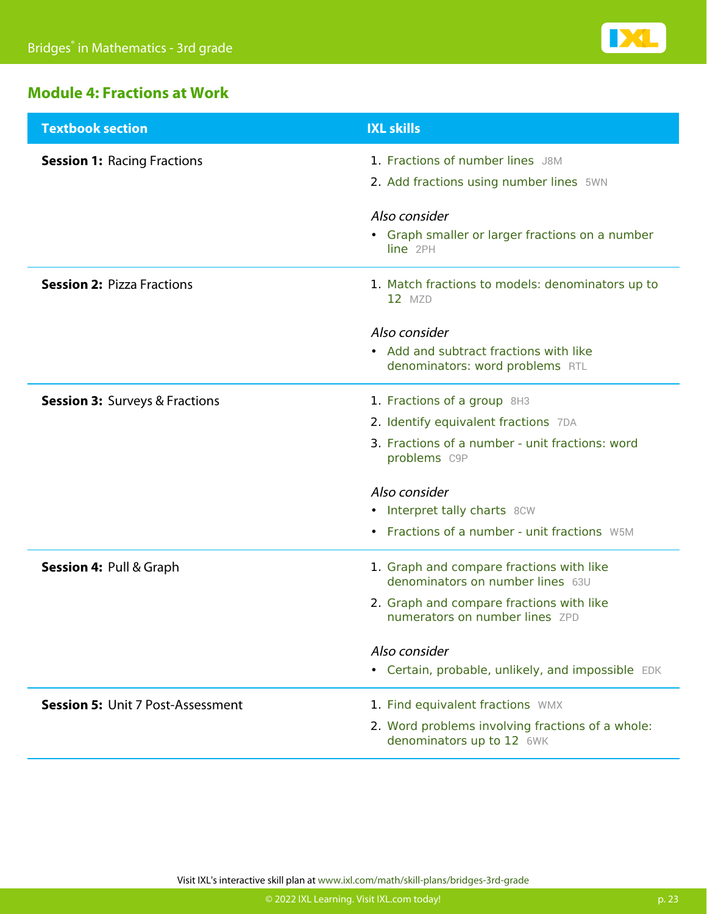

### **Module 4: Fractions at Work**

| <b>Textbook section</b>                   | <b>IXL skills</b>                                                                                                                                                           |
|-------------------------------------------|-----------------------------------------------------------------------------------------------------------------------------------------------------------------------------|
| <b>Session 1: Racing Fractions</b>        | 1. Fractions of number lines J8M<br>2. Add fractions using number lines 5WN                                                                                                 |
|                                           | Also consider<br>• Graph smaller or larger fractions on a number<br>line 2PH                                                                                                |
| <b>Session 2: Pizza Fractions</b>         | 1. Match fractions to models: denominators up to<br>$12$ MZD                                                                                                                |
|                                           | Also consider<br>• Add and subtract fractions with like<br>denominators: word problems RTL                                                                                  |
| <b>Session 3: Surveys &amp; Fractions</b> | 1. Fractions of a group 8H3<br>2. Identify equivalent fractions 7DA<br>3. Fractions of a number - unit fractions: word<br>problems C9P                                      |
|                                           | Also consider<br>• Interpret tally charts 8CW<br>Fractions of a number - unit fractions W5M<br>$\bullet$                                                                    |
| <b>Session 4: Pull &amp; Graph</b>        | 1. Graph and compare fractions with like<br>denominators on number lines 63U<br>2. Graph and compare fractions with like<br>numerators on number lines ZPD<br>Also consider |
| <b>Session 5: Unit 7 Post-Assessment</b>  | • Certain, probable, unlikely, and impossible EDK<br>1. Find equivalent fractions WMX<br>2. Word problems involving fractions of a whole:                                   |
|                                           | denominators up to 12 6WK                                                                                                                                                   |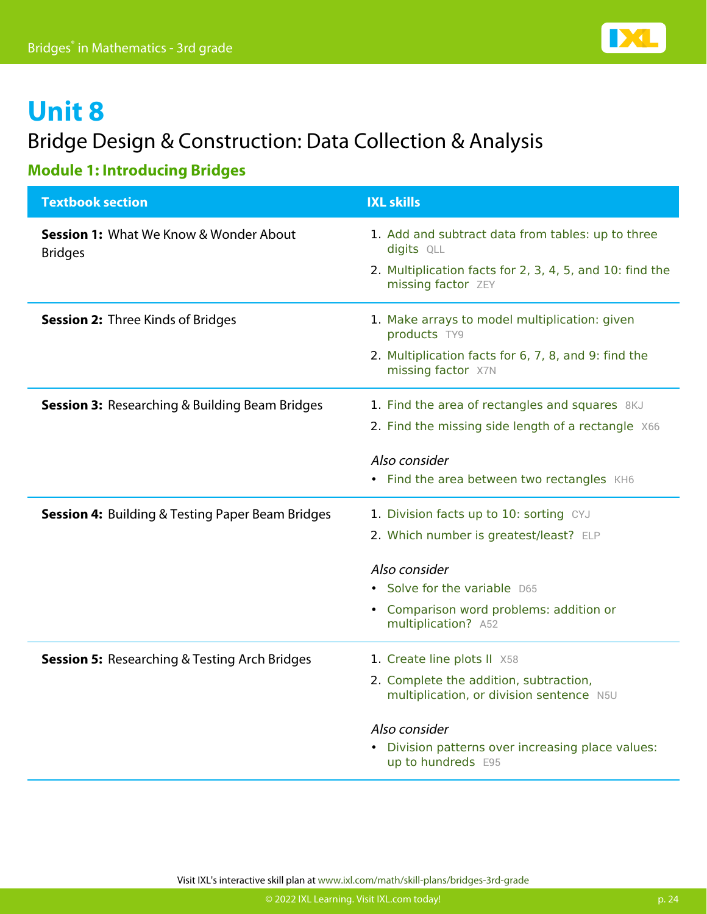

### Bridge Design & Construction: Data Collection & Analysis

### **Module 1: Introducing Bridges**

| <b>Textbook section</b>                                             | <b>IXL skills</b>                                                                  |
|---------------------------------------------------------------------|------------------------------------------------------------------------------------|
| <b>Session 1: What We Know &amp; Wonder About</b><br><b>Bridges</b> | 1. Add and subtract data from tables: up to three<br>digits QLL                    |
|                                                                     | 2. Multiplication facts for 2, 3, 4, 5, and 10: find the<br>missing factor ZEY     |
| <b>Session 2: Three Kinds of Bridges</b>                            | 1. Make arrays to model multiplication: given<br>products TY9                      |
|                                                                     | 2. Multiplication facts for 6, 7, 8, and 9: find the<br>missing factor X7N         |
| <b>Session 3: Researching &amp; Building Beam Bridges</b>           | 1. Find the area of rectangles and squares 8KJ                                     |
|                                                                     | 2. Find the missing side length of a rectangle X66                                 |
|                                                                     | Also consider                                                                      |
|                                                                     | • Find the area between two rectangles KH6                                         |
| <b>Session 4:</b> Building & Testing Paper Beam Bridges             | 1. Division facts up to 10: sorting CYJ                                            |
|                                                                     | 2. Which number is greatest/least? ELP                                             |
|                                                                     | Also consider                                                                      |
|                                                                     | Solve for the variable D65                                                         |
|                                                                     | Comparison word problems: addition or<br>$\bullet$<br>multiplication? A52          |
| <b>Session 5: Researching &amp; Testing Arch Bridges</b>            | 1. Create line plots II X58                                                        |
|                                                                     | 2. Complete the addition, subtraction,<br>multiplication, or division sentence N5U |
|                                                                     | Also consider                                                                      |
|                                                                     | Division patterns over increasing place values:<br>$\bullet$<br>up to hundreds E95 |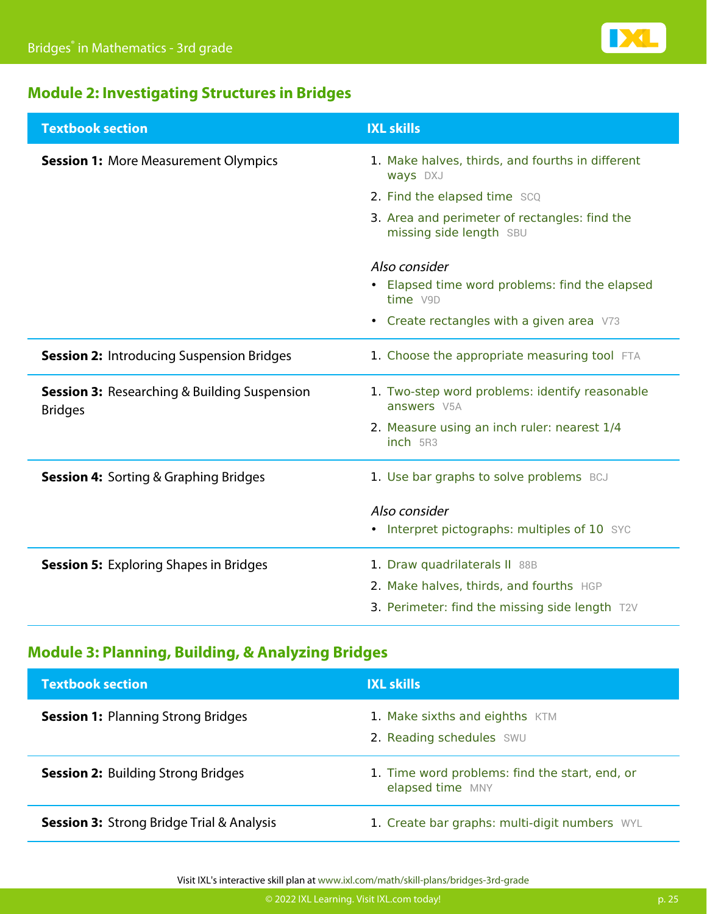

### **Module 2: Investigating Structures in Bridges**

| <b>Textbook section</b>                                               | <b>IXL skills</b>                                                        |
|-----------------------------------------------------------------------|--------------------------------------------------------------------------|
| <b>Session 1: More Measurement Olympics</b>                           | 1. Make halves, thirds, and fourths in different<br>ways DXJ             |
|                                                                       | 2. Find the elapsed time SCQ                                             |
|                                                                       | 3. Area and perimeter of rectangles: find the<br>missing side length SBU |
|                                                                       | Also consider                                                            |
|                                                                       | Elapsed time word problems: find the elapsed<br>time V9D                 |
|                                                                       | • Create rectangles with a given area V73                                |
| <b>Session 2: Introducing Suspension Bridges</b>                      | 1. Choose the appropriate measuring tool FTA                             |
| <b>Session 3:</b> Researching & Building Suspension<br><b>Bridges</b> | 1. Two-step word problems: identify reasonable<br>answers V5A            |
|                                                                       | 2. Measure using an inch ruler: nearest 1/4<br>inch 5R3                  |
| <b>Session 4: Sorting &amp; Graphing Bridges</b>                      | 1. Use bar graphs to solve problems BCJ                                  |
|                                                                       | Also consider                                                            |
|                                                                       | • Interpret pictographs: multiples of 10 SYC                             |
| <b>Session 5: Exploring Shapes in Bridges</b>                         | 1. Draw quadrilaterals II 88B                                            |
|                                                                       | 2. Make halves, thirds, and fourths HGP                                  |
|                                                                       | 3. Perimeter: find the missing side length T2V                           |

### **Module 3: Planning, Building, & Analyzing Bridges**

| <b>Textbook section</b>                              | <b>IXL skills</b>                                                  |
|------------------------------------------------------|--------------------------------------------------------------------|
| <b>Session 1: Planning Strong Bridges</b>            | 1. Make sixths and eighths KTM<br>2. Reading schedules SWU         |
| <b>Session 2: Building Strong Bridges</b>            | 1. Time word problems: find the start, end, or<br>elapsed time MNY |
| <b>Session 3: Strong Bridge Trial &amp; Analysis</b> | 1. Create bar graphs: multi-digit numbers WYL                      |